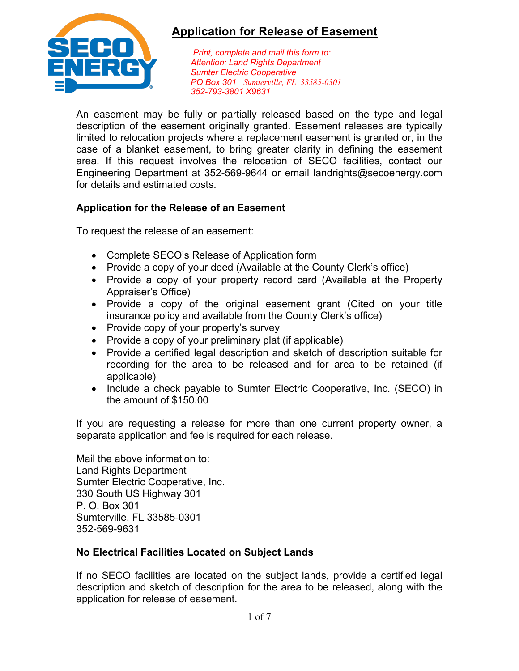

*Print, complete and mail this form to: Attention: Land Rights Department Sumter Electric Cooperative PO Box 301 Sumterville, FL 33585-0301 352-793-3801 X9631*

An easement may be fully or partially released based on the type and legal description of the easement originally granted. Easement releases are typically limited to relocation projects where a replacement easement is granted or, in the case of a blanket easement, to bring greater clarity in defining the easement area. If this request involves the relocation of SECO facilities, contact our Engineering Department at 352-569-9644 or email landrights@secoenergy.com for details and estimated costs.

## **Application for the Release of an Easement**

To request the release of an easement:

- Complete SECO's Release of Application form
- Provide a copy of your deed (Available at the County Clerk's office)
- Provide a copy of your property record card (Available at the Property Appraiser's Office)
- Provide a copy of the original easement grant (Cited on your title insurance policy and available from the County Clerk's office)
- Provide copy of your property's survey
- Provide a copy of your preliminary plat (if applicable)
- Provide a certified legal description and sketch of description suitable for recording for the area to be released and for area to be retained (if applicable)
- Include a check payable to Sumter Electric Cooperative, Inc. (SECO) in the amount of \$150.00

If you are requesting a release for more than one current property owner, a separate application and fee is required for each release.

Mail the above information to: Land Rights Department Sumter Electric Cooperative, Inc. 330 South US Highway 301 P. O. Box 301 Sumterville, FL 33585-0301 352-569-9631

## **No Electrical Facilities Located on Subject Lands**

If no SECO facilities are located on the subject lands, provide a certified legal description and sketch of description for the area to be released, along with the application for release of easement.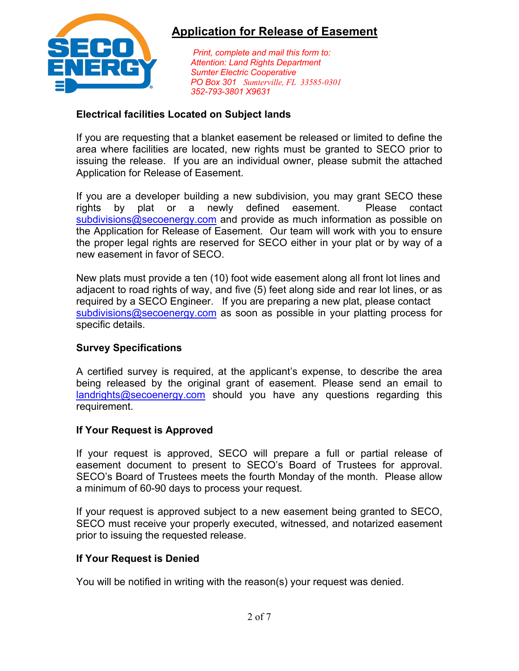

*Print, complete and mail this form to: Attention: Land Rights Department Sumter Electric Cooperative PO Box 301 Sumterville, FL 33585-0301 352-793-3801 X9631*

### **Electrical facilities Located on Subject lands**

If you are requesting that a blanket easement be released or limited to define the area where facilities are located, new rights must be granted to SECO prior to issuing the release. If you are an individual owner, please submit the attached Application for Release of Easement.

If you are a developer building a new subdivision, you may grant SECO these rights by plat or a newly defined easement. Please contact subdivisions@secoenergy.com and provide as much information as possible on the Application for Release of Easement. Our team will work with you to ensure the proper legal rights are reserved for SECO either in your plat or by way of a new easement in favor of SECO.

New plats must provide a ten (10) foot wide easement along all front lot lines and adjacent to road rights of way, and five (5) feet along side and rear lot lines, or as required by a SECO Engineer. If you are preparing a new plat, please contact subdivisions@secoenergy.com as soon as possible in your platting process for specific details.

## **Survey Specifications**

A certified survey is required, at the applicant's expense, to describe the area being released by the original grant of easement. Please send an email to landrights@secoenergy.com should you have any questions regarding this requirement.

### **If Your Request is Approved**

If your request is approved, SECO will prepare a full or partial release of easement document to present to SECO's Board of Trustees for approval. SECO's Board of Trustees meets the fourth Monday of the month. Please allow a minimum of 60-90 days to process your request.

If your request is approved subject to a new easement being granted to SECO, SECO must receive your properly executed, witnessed, and notarized easement prior to issuing the requested release.

## **If Your Request is Denied**

You will be notified in writing with the reason(s) your request was denied.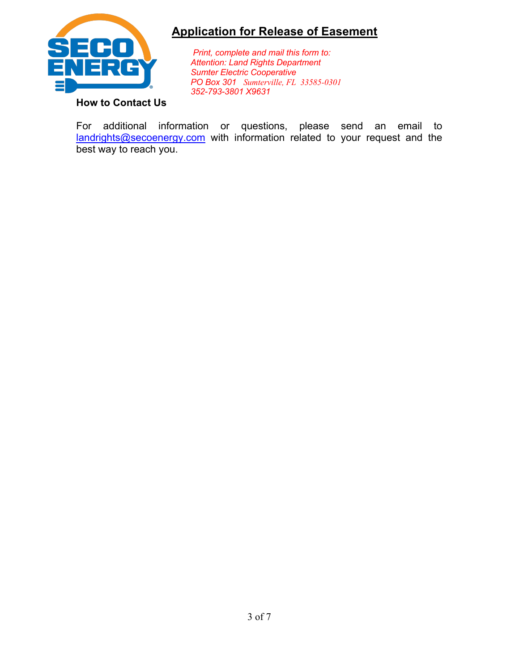

*Print, complete and mail this form to: Attention: Land Rights Department Sumter Electric Cooperative PO Box 301 Sumterville, FL 33585-0301 352-793-3801 X9631*

## **How to Contact Us**

For additional information or questions, please send an email to landrights@secoenergy.com with information related to your request and the best way to reach you.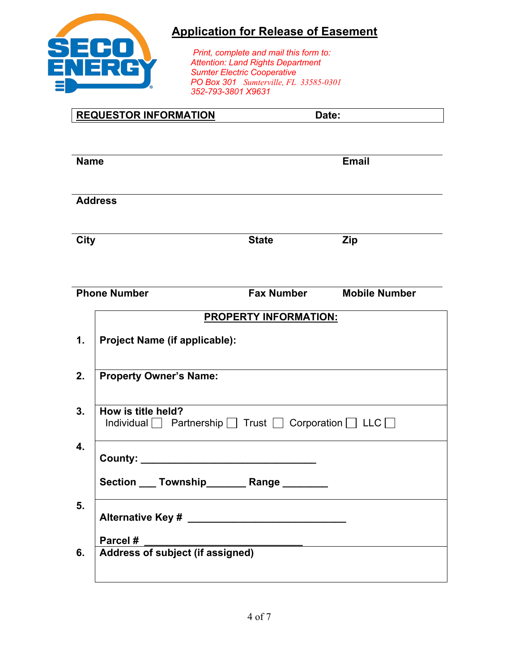

*Print, complete and mail this form to: Attention: Land Rights Department Sumter Electric Cooperative PO Box 301 Sumterville, FL 33585-0301 352-793-3801 X9631*

|                | <b>REQUESTOR INFORMATION</b>                                                                   | Date:                        |                      |  |  |  |
|----------------|------------------------------------------------------------------------------------------------|------------------------------|----------------------|--|--|--|
|                | <b>Name</b>                                                                                    |                              | <b>Email</b>         |  |  |  |
| <b>Address</b> |                                                                                                |                              |                      |  |  |  |
| <b>City</b>    |                                                                                                | <b>State</b><br><b>Zip</b>   |                      |  |  |  |
|                | <b>Phone Number</b>                                                                            | <b>Fax Number</b>            | <b>Mobile Number</b> |  |  |  |
| 1.<br>2.       | <b>Project Name (if applicable):</b><br><b>Property Owner's Name:</b>                          | <b>PROPERTY INFORMATION:</b> |                      |  |  |  |
| 3.             | How is title held?<br>Individual Partnership $\Box$ Trust $\Box$ Corporation $\Box$ LLC $\Box$ |                              |                      |  |  |  |
| 4.             | Section ____ Township_________ Range _______                                                   |                              |                      |  |  |  |
| 5.             |                                                                                                |                              |                      |  |  |  |
| 6.             | Parcel #<br>Address of subject (if assigned)                                                   |                              |                      |  |  |  |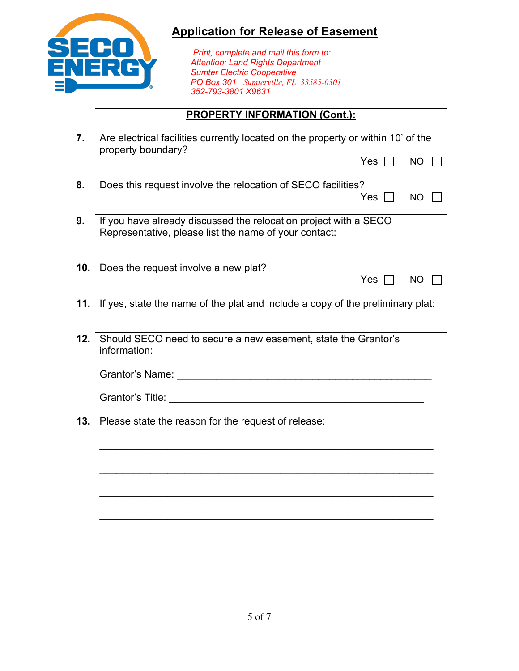

*Print, complete and mail this form to: Attention: Land Rights Department Sumter Electric Cooperative PO Box 301 Sumterville, FL 33585-0301 352-793-3801 X9631*

## **PROPERTY INFORMATION (Cont.):**

| 7.              | Are electrical facilities currently located on the property or within 10' of the<br>property boundary?                    |           |  |  |  |  |
|-----------------|---------------------------------------------------------------------------------------------------------------------------|-----------|--|--|--|--|
|                 | Yes $\Box$                                                                                                                | <b>NO</b> |  |  |  |  |
| 8.              | Does this request involve the relocation of SECO facilities?<br>Yes $\Box$                                                | <b>NO</b> |  |  |  |  |
| 9.              | If you have already discussed the relocation project with a SECO<br>Representative, please list the name of your contact: |           |  |  |  |  |
| 10 <sub>1</sub> | Does the request involve a new plat?<br>Yes $\Box$                                                                        | <b>NO</b> |  |  |  |  |
| 11.             | If yes, state the name of the plat and include a copy of the preliminary plat:                                            |           |  |  |  |  |
| 12.             | Should SECO need to secure a new easement, state the Grantor's<br>information:                                            |           |  |  |  |  |
|                 |                                                                                                                           |           |  |  |  |  |
|                 |                                                                                                                           |           |  |  |  |  |
| 13.             | Please state the reason for the request of release:                                                                       |           |  |  |  |  |
|                 |                                                                                                                           |           |  |  |  |  |
|                 |                                                                                                                           |           |  |  |  |  |
|                 |                                                                                                                           |           |  |  |  |  |
|                 |                                                                                                                           |           |  |  |  |  |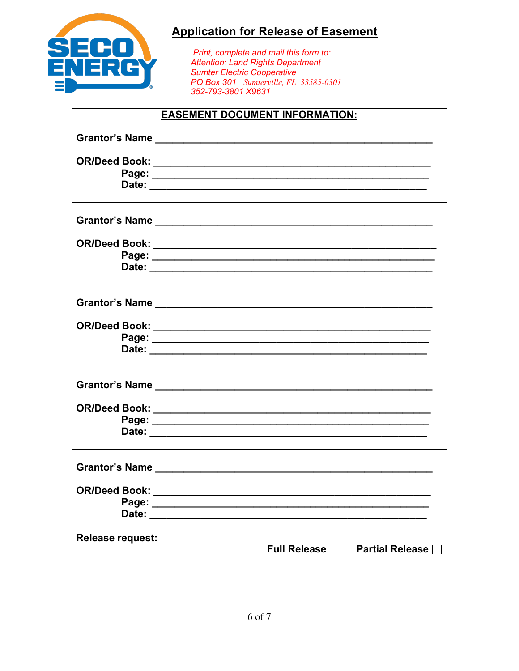

Print, complete and mail this form to: Attention: Land Rights Department **Sumter Electric Cooperative** PO Box 301 Sumterville, FL 33585-0301 352-793-3801 X9631

### **EASEMENT DOCUMENT INFORMATION:**

| Date: __________        |  |                                            |
|-------------------------|--|--------------------------------------------|
|                         |  |                                            |
| <b>Release request:</b> |  | Full Release $\Box$ Partial Release $\Box$ |
|                         |  |                                            |